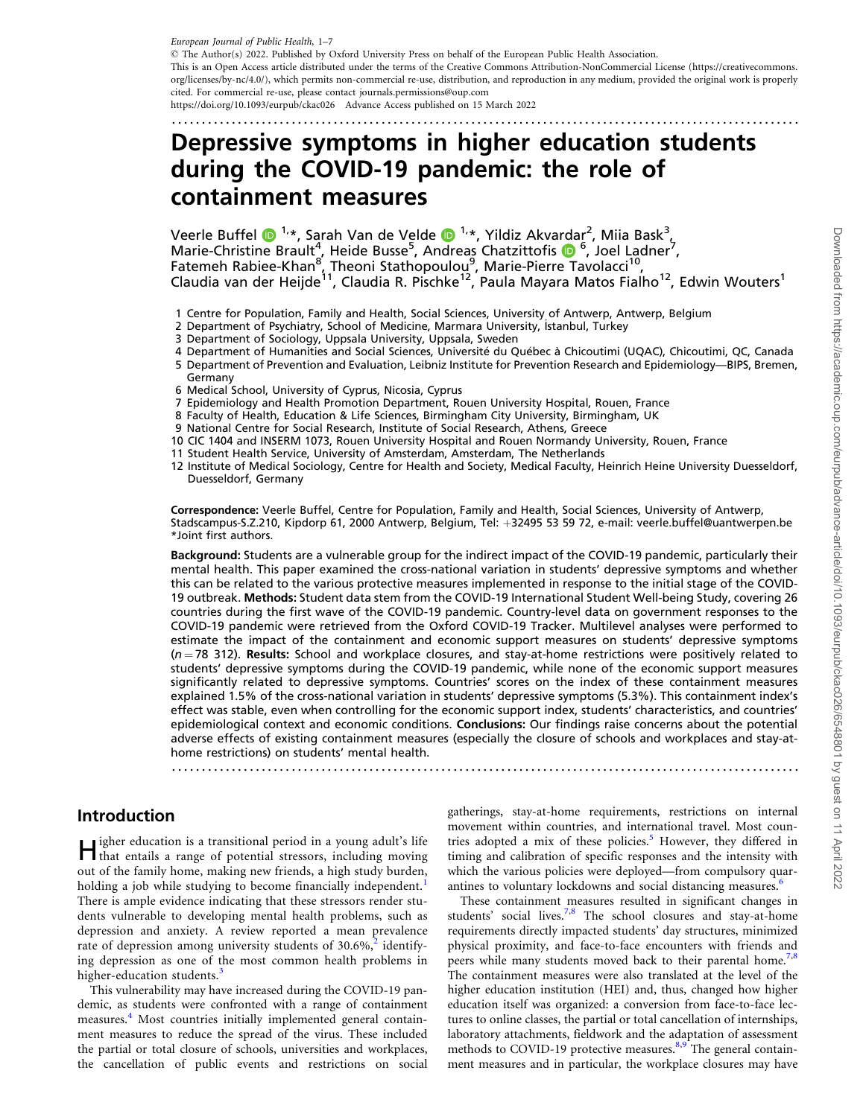<span id="page-0-0"></span>European Journal of Public Health, 1–7

- The Author(s) 2022. Published by Oxford University Press on behalf of the European Public Health Association. This is an Open Access article distributed under the terms of the Creative Commons Attribution-NonCommercial License (https://creativecommons. org/licenses/by-nc/4.0/), which permits non-commercial re-use, distribution, and reproduction in any medium, provided the original work is properly cited. For commercial re-use, please contact journals.permissions@oup.com https://doi.org/10.1093/eurpub/ckac026 Advance Access published on 15 March 2022

.........................................................................................................

# Depressive symptoms in higher education students during the COVID-19 pandemic: the role of containment measures

Veerle Buffel  $\bigcirc^{1,*}$ , Sarah Van de Velde  $\bigcirc^{1,*}$ , Yildiz Akvardar<sup>2</sup>, Miia Bask<sup>3</sup>, Marie-Christine Brault<sup>4</sup>, Heide Busse<sup>5</sup>, Andreas Chatzittofis (D<sup>6</sup>, Joel Ladner<sup>7</sup>, Fatemeh Rabiee-Khan<sup>8</sup>, Theoni Stathopoulou<sup>9</sup>, Marie-Pierre Tavolacci<sup>10</sup>, Claudia van der Heijde<sup>11</sup>, Claudia R. Pischke<sup>12</sup>, Paula Mayara Matos Fialho<sup>12</sup>, Edwin Wouters<sup>1</sup>

- 1 Centre for Population, Family and Health, Social Sciences, University of Antwerp, Antwerp, Belgium
- 2 Department of Psychiatry, School of Medicine, Marmara University, Istanbul, Turkey
- 3 Department of Sociology, Uppsala University, Uppsala, Sweden
- 4 Department of Humanities and Social Sciences, Université du Québec à Chicoutimi (UQAC), Chicoutimi, QC, Canada
- 5 Department of Prevention and Evaluation, Leibniz Institute for Prevention Research and Epidemiology—BIPS, Bremen, Germany
- 6 Medical School, University of Cyprus, Nicosia, Cyprus
- 7 Epidemiology and Health Promotion Department, Rouen University Hospital, Rouen, France
- 8 Faculty of Health, Education & Life Sciences, Birmingham City University, Birmingham, UK
- 9 National Centre for Social Research, Institute of Social Research, Athens, Greece
- 10 CIC 1404 and INSERM 1073, Rouen University Hospital and Rouen Normandy University, Rouen, France
- 11 Student Health Service, University of Amsterdam, Amsterdam, The Netherlands
- 12 Institute of Medical Sociology, Centre for Health and Society, Medical Faculty, Heinrich Heine University Duesseldorf, Duesseldorf, Germany

Correspondence: Veerle Buffel, Centre for Population, Family and Health, Social Sciences, University of Antwerp, Stadscampus-S.Z.210, Kipdorp 61, 2000 Antwerp, Belgium, Tel: +32495 53 59 72, e-mail: veerle.buffel@uantwerpen.be \*Joint first authors.

Background: Students are a vulnerable group for the indirect impact of the COVID-19 pandemic, particularly their mental health. This paper examined the cross-national variation in students' depressive symptoms and whether this can be related to the various protective measures implemented in response to the initial stage of the COVID-19 outbreak. Methods: Student data stem from the COVID-19 International Student Well-being Study, covering 26 countries during the first wave of the COVID-19 pandemic. Country-level data on government responses to the COVID-19 pandemic were retrieved from the Oxford COVID-19 Tracker. Multilevel analyses were performed to estimate the impact of the containment and economic support measures on students' depressive symptoms  $(n = 78 \text{ 312})$ . Results: School and workplace closures, and stay-at-home restrictions were positively related to students' depressive symptoms during the COVID-19 pandemic, while none of the economic support measures significantly related to depressive symptoms. Countries' scores on the index of these containment measures explained 1.5% of the cross-national variation in students' depressive symptoms (5.3%). This containment index's effect was stable, even when controlling for the economic support index, students' characteristics, and countries' epidemiological context and economic conditions. Conclusions: Our findings raise concerns about the potential adverse effects of existing containment measures (especially the closure of schools and workplaces and stay-athome restrictions) on students' mental health.

.........................................................................................................

### Introduction

Higher education is a transitional period in a young adult's life that entails a range of potential stressors, including moving out of the family home, making new friends, a high study burden, holding a job while studying to become financially independent.<sup>[1](#page-5-0)</sup> There is ample evidence indicating that these stressors render students vulnerable to developing mental health problems, such as depression and anxiety. A review reported a mean prevalence rate of depression among university students of  $30.6\%$ ,<sup>[2](#page-5-0)</sup> identifying depression as one of the most common health problems in higher-education students.<sup>[3](#page-6-0)</sup>

This vulnerability may have increased during the COVID-19 pandemic, as students were confronted with a range of containment measures.<sup>[4](#page-6-0)</sup> Most countries initially implemented general containment measures to reduce the spread of the virus. These included the partial or total closure of schools, universities and workplaces, the cancellation of public events and restrictions on social gatherings, stay-at-home requirements, restrictions on internal movement within countries, and international travel. Most countries adopted a mix of these policies.<sup>5</sup> However, they differed in timing and calibration of specific responses and the intensity with which the various policies were deployed—from compulsory quar-antines to voluntary lockdowns and social distancing measures.<sup>[6](#page-6-0)</sup>

These containment measures resulted in significant changes in students' social lives.<sup>7,[8](#page-6-0)</sup> The school closures and stay-at-home requirements directly impacted students' day structures, minimized physical proximity, and face-to-face encounters with friends and peers while many students moved back to their parental home.<sup>7,8</sup> The containment measures were also translated at the level of the higher education institution (HEI) and, thus, changed how higher education itself was organized: a conversion from face-to-face lectures to online classes, the partial or total cancellation of internships, laboratory attachments, fieldwork and the adaptation of assessment methods to COVID-1[9](#page-6-0) protective measures. $8.9^{\circ}$  $8.9^{\circ}$ The general containment measures and in particular, the workplace closures may have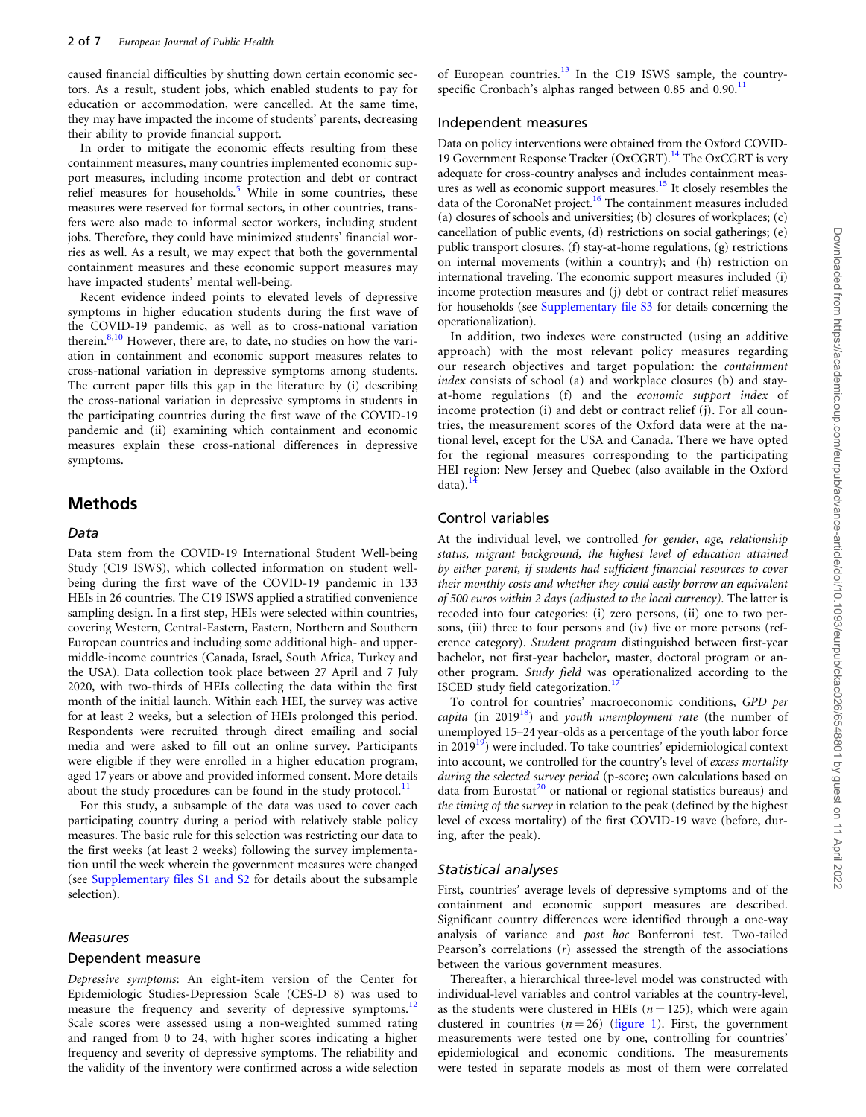<span id="page-1-0"></span>caused financial difficulties by shutting down certain economic sectors. As a result, student jobs, which enabled students to pay for education or accommodation, were cancelled. At the same time, they may have impacted the income of students' parents, decreasing their ability to provide financial support.

In order to mitigate the economic effects resulting from these containment measures, many countries implemented economic support measures, including income protection and debt or contract relief measures for households.<sup>[5](#page-6-0)</sup> While in some countries, these measures were reserved for formal sectors, in other countries, transfers were also made to informal sector workers, including student jobs. Therefore, they could have minimized students' financial worries as well. As a result, we may expect that both the governmental containment measures and these economic support measures may have impacted students' mental well-being.

Recent evidence indeed points to elevated levels of depressive symptoms in higher education students during the first wave of the COVID-19 pandemic, as well as to cross-national variation therein.<sup>[8,10](#page-6-0)</sup> However, there are, to date, no studies on how the variation in containment and economic support measures relates to cross-national variation in depressive symptoms among students. The current paper fills this gap in the literature by (i) describing the cross-national variation in depressive symptoms in students in the participating countries during the first wave of the COVID-19 pandemic and (ii) examining which containment and economic measures explain these cross-national differences in depressive symptoms.

#### Methods

#### Data

Data stem from the COVID-19 International Student Well-being Study (C19 ISWS), which collected information on student wellbeing during the first wave of the COVID-19 pandemic in 133 HEIs in 26 countries. The C19 ISWS applied a stratified convenience sampling design. In a first step, HEIs were selected within countries, covering Western, Central-Eastern, Eastern, Northern and Southern European countries and including some additional high- and uppermiddle-income countries (Canada, Israel, South Africa, Turkey and the USA). Data collection took place between 27 April and 7 July 2020, with two-thirds of HEIs collecting the data within the first month of the initial launch. Within each HEI, the survey was active for at least 2 weeks, but a selection of HEIs prolonged this period. Respondents were recruited through direct emailing and social media and were asked to fill out an online survey. Participants were eligible if they were enrolled in a higher education program, aged 17 years or above and provided informed consent. More details about the study procedures can be found in the study protocol. $<sup>11</sup>$  $<sup>11</sup>$  $<sup>11</sup>$ </sup>

For this study, a subsample of the data was used to cover each participating country during a period with relatively stable policy measures. The basic rule for this selection was restricting our data to the first weeks (at least 2 weeks) following the survey implementation until the week wherein the government measures were changed (see [Supplementary files S1 and S2](https://academic.oup.com/eurpub/article-lookup/doi/10.1093/eurpub/ckac026#supplementary-data) for details about the subsample selection).

#### Measures

#### Dependent measure

Depressive symptoms: An eight-item version of the Center for Epidemiologic Studies-Depression Scale (CES-D 8) was used to measure the frequency and severity of depressive symptoms.<sup>[12](#page-6-0)</sup> Scale scores were assessed using a non-weighted summed rating and ranged from 0 to 24, with higher scores indicating a higher frequency and severity of depressive symptoms. The reliability and the validity of the inventory were confirmed across a wide selection

of European countries.<sup>[13](#page-6-0)</sup> In the C19 ISWS sample, the countryspecific Cronbach's alphas ranged between  $0.85$  and  $0.90$ .<sup>1</sup>

#### Independent measures

Data on policy interventions were obtained from the Oxford COVID-19 Government Response Tracker (OxCGRT).<sup>14</sup> The OxCGRT is very adequate for cross-country analyses and includes containment meas-ures as well as economic support measures.<sup>[15](#page-6-0)</sup> It closely resembles the data of the CoronaNet project.<sup>16</sup> The containment measures included (a) closures of schools and universities; (b) closures of workplaces; (c) cancellation of public events, (d) restrictions on social gatherings; (e) public transport closures, (f) stay-at-home regulations, (g) restrictions on internal movements (within a country); and (h) restriction on international traveling. The economic support measures included (i) income protection measures and (j) debt or contract relief measures for households (see [Supplementary file S3](https://academic.oup.com/eurpub/article-lookup/doi/10.1093/eurpub/ckac026#supplementary-data) for details concerning the operationalization).

In addition, two indexes were constructed (using an additive approach) with the most relevant policy measures regarding our research objectives and target population: the containment index consists of school (a) and workplace closures (b) and stayat-home regulations (f) and the economic support index of income protection (i) and debt or contract relief (j). For all countries, the measurement scores of the Oxford data were at the national level, except for the USA and Canada. There we have opted for the regional measures corresponding to the participating HEI region: New Jersey and Quebec (also available in the Oxford data).

#### Control variables

At the individual level, we controlled for gender, age, relationship status, migrant background, the highest level of education attained by either parent, if students had sufficient financial resources to cover their monthly costs and whether they could easily borrow an equivalent of 500 euros within 2 days (adjusted to the local currency). The latter is recoded into four categories: (i) zero persons, (ii) one to two persons, (iii) three to four persons and (iv) five or more persons (reference category). Student program distinguished between first-year bachelor, not first-year bachelor, master, doctoral program or another program. Study field was operationalized according to the ISCED study field categorization.<sup>[17](#page-6-0)</sup>

To control for countries' macroeconomic conditions, GPD per capita (in 2019<sup>[18](#page-6-0)</sup>) and youth unemployment rate (the number of unemployed 15–24 year-olds as a percentage of the youth labor force in  $2019<sup>19</sup>$ ) were included. To take countries' epidemiological context into account, we controlled for the country's level of excess mortality during the selected survey period (p-score; own calculations based on data from Eurostat<sup>[20](#page-6-0)</sup> or national or regional statistics bureaus) and the timing of the survey in relation to the peak (defined by the highest level of excess mortality) of the first COVID-19 wave (before, during, after the peak).

#### Statistical analyses

First, countries' average levels of depressive symptoms and of the containment and economic support measures are described. Significant country differences were identified through a one-way analysis of variance and post hoc Bonferroni test. Two-tailed Pearson's correlations  $(r)$  assessed the strength of the associations between the various government measures.

Thereafter, a hierarchical three-level model was constructed with individual-level variables and control variables at the country-level, as the students were clustered in HEIs ( $n = 125$ ), which were again clustered in countries  $(n = 26)$  ([figure 1\)](#page-2-0). First, the government measurements were tested one by one, controlling for countries' epidemiological and economic conditions. The measurements were tested in separate models as most of them were correlated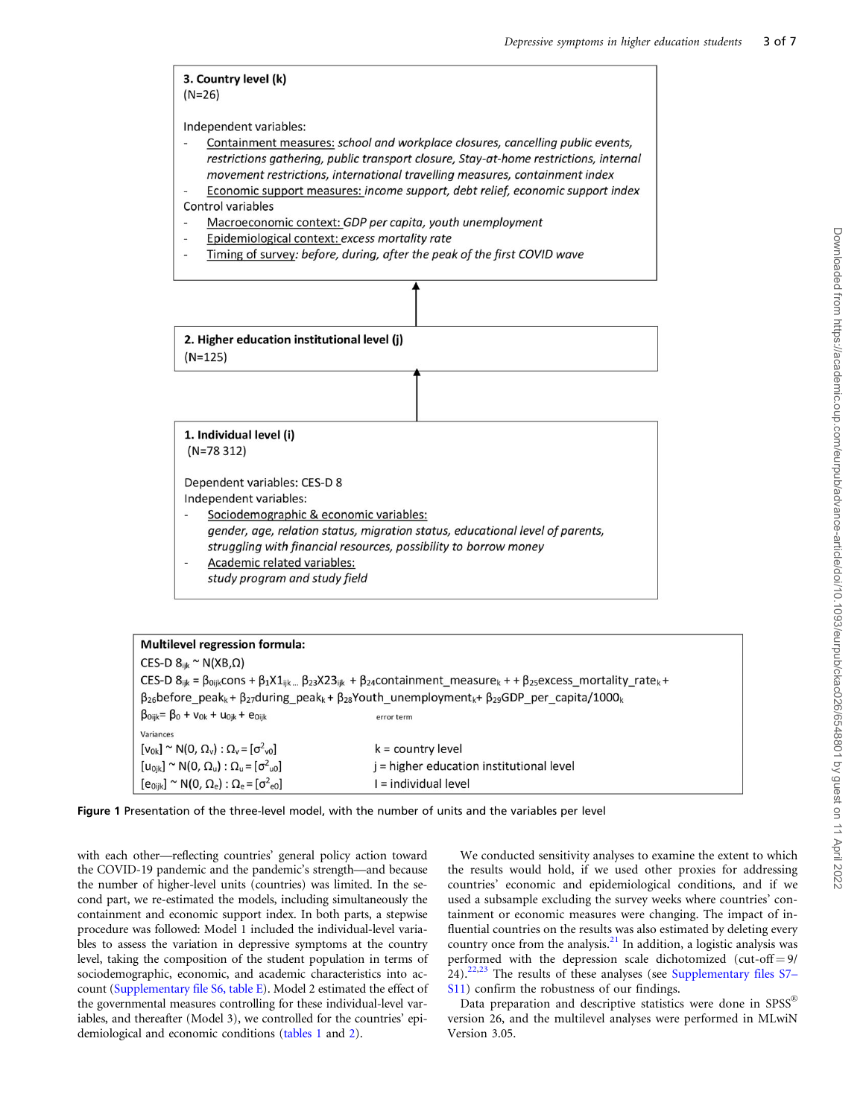#### <span id="page-2-0"></span>3. Country level (k)  $(N=26)$

Independent variables:

- Containment measures: school and workplace closures, cancelling public events, restrictions gathering, public transport closure, Stay-at-home restrictions, internal movement restrictions, international travelling measures, containment index
- Economic support measures: income support, debt relief, economic support index Control variables
- Macroeconomic context: GDP per capita, youth unemployment
- Epidemiological context: excess mortality rate
- Timing of survey: before, during, after the peak of the first COVID wave



| <b>Multilevel regression formula:</b>                                                                                                                                               |                                          |  |  |  |  |
|-------------------------------------------------------------------------------------------------------------------------------------------------------------------------------------|------------------------------------------|--|--|--|--|
| CES-D $8_{\text{iik}}$ ~ N(XB, $\Omega$ )                                                                                                                                           |                                          |  |  |  |  |
| CES-D $8_{ijk} = \beta_{0ijk}$ cons + $\beta_1 X1_{ijk}$ $\beta_{23} X23_{ijk}$ + $\beta_{24}$ containment_measure <sub>k</sub> + $\beta_{25}$ excess_mortality_rate <sub>k</sub> + |                                          |  |  |  |  |
| $\beta_{26}$ before_peak <sub>k</sub> + $\beta_{27}$ during_peak <sub>k</sub> + $\beta_{28}$ Youth_unemployment <sub>k</sub> + $\beta_{29}$ GDP_per_capita/1000 <sub>k</sub>        |                                          |  |  |  |  |
| $\beta_{0ijk} = \beta_0 + v_{0k} + u_{0ik} + e_{0ijk}$                                                                                                                              | error term                               |  |  |  |  |
| Variances                                                                                                                                                                           |                                          |  |  |  |  |
| $[v_{0k}] \sim N(0, \Omega_v) : \Omega_v = [\sigma^2_{v0}]$                                                                                                                         | k = country level                        |  |  |  |  |
| $[u_{0ik}] \sim N(0, \Omega_u) : \Omega_u = [\sigma^2_{u0}]$                                                                                                                        | j = higher education institutional level |  |  |  |  |
| $[e_{0ijk}] \sim N(0, \Omega_e) : \Omega_e = [\sigma^2_{e0}]$                                                                                                                       | I = individual level                     |  |  |  |  |
|                                                                                                                                                                                     |                                          |  |  |  |  |



with each other—reflecting countries' general policy action toward the COVID-19 pandemic and the pandemic's strength—and because the number of higher-level units (countries) was limited. In the second part, we re-estimated the models, including simultaneously the containment and economic support index. In both parts, a stepwise procedure was followed: Model 1 included the individual-level variables to assess the variation in depressive symptoms at the country level, taking the composition of the student population in terms of sociodemographic, economic, and academic characteristics into account ([Supplementary file S6, table E\)](https://academic.oup.com/eurpub/article-lookup/doi/10.1093/eurpub/ckac026#supplementary-data). Model 2 estimated the effect of the governmental measures controlling for these individual-level variables, and thereafter (Model 3), we controlled for the countries' epidemiological and economic conditions ([tables 1](#page-4-0) and [2](#page-5-0)).

We conducted sensitivity analyses to examine the extent to which the results would hold, if we used other proxies for addressing countries' economic and epidemiological conditions, and if we used a subsample excluding the survey weeks where countries' containment or economic measures were changing. The impact of influential countries on the results was also estimated by deleting every country once from the analysis.<sup>[21](#page-6-0)</sup> In addition, a logistic analysis was performed with the depression scale dichotomized (cut-off  $= 9/$  $24$ ).<sup>[22](#page-6-0),[23](#page-6-0)</sup> The results of these analyses (see [Supplementary files S7–](https://academic.oup.com/eurpub/article-lookup/doi/10.1093/eurpub/ckac026#supplementary-data) [S11\)](https://academic.oup.com/eurpub/article-lookup/doi/10.1093/eurpub/ckac026#supplementary-data) confirm the robustness of our findings.

Data preparation and descriptive statistics were done in  $SPSS^{\circledR}$ version 26, and the multilevel analyses were performed in MLwiN Version 3.05.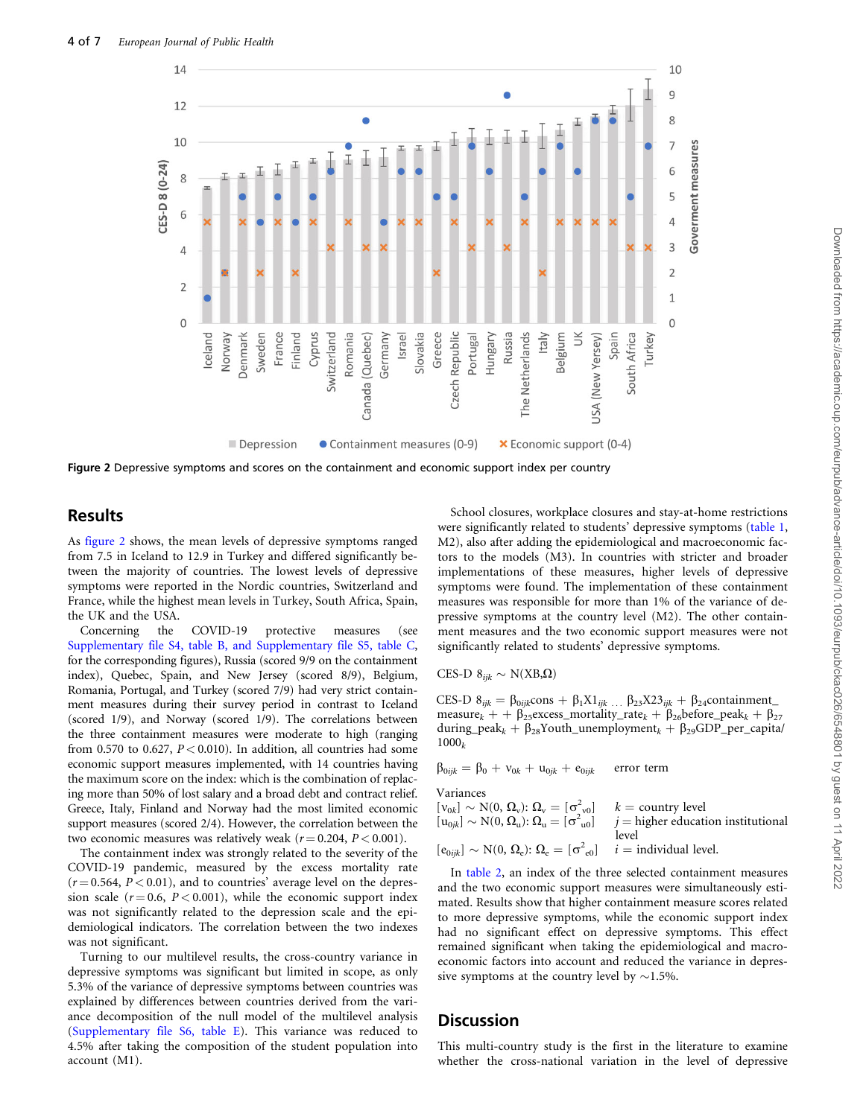

Figure 2 Depressive symptoms and scores on the containment and economic support index per country

### Results

As figure 2 shows, the mean levels of depressive symptoms ranged from 7.5 in Iceland to 12.9 in Turkey and differed significantly between the majority of countries. The lowest levels of depressive symptoms were reported in the Nordic countries, Switzerland and France, while the highest mean levels in Turkey, South Africa, Spain, the UK and the USA.

Concerning the COVID-19 protective measures (see [Supplementary file S4, table B, and Supplementary file S5, table C](https://academic.oup.com/eurpub/article-lookup/doi/10.1093/eurpub/ckac026#supplementary-data), for the corresponding figures), Russia (scored 9/9 on the containment index), Quebec, Spain, and New Jersey (scored 8/9), Belgium, Romania, Portugal, and Turkey (scored 7/9) had very strict containment measures during their survey period in contrast to Iceland (scored 1/9), and Norway (scored 1/9). The correlations between the three containment measures were moderate to high (ranging from 0.570 to 0.627,  $P < 0.010$ ). In addition, all countries had some economic support measures implemented, with 14 countries having the maximum score on the index: which is the combination of replacing more than 50% of lost salary and a broad debt and contract relief. Greece, Italy, Finland and Norway had the most limited economic support measures (scored 2/4). However, the correlation between the two economic measures was relatively weak ( $r = 0.204$ ,  $P < 0.001$ ).

The containment index was strongly related to the severity of the COVID-19 pandemic, measured by the excess mortality rate  $(r = 0.564, P < 0.01)$ , and to countries' average level on the depression scale  $(r = 0.6, P < 0.001)$ , while the economic support index was not significantly related to the depression scale and the epidemiological indicators. The correlation between the two indexes was not significant.

Turning to our multilevel results, the cross-country variance in depressive symptoms was significant but limited in scope, as only 5.3% of the variance of depressive symptoms between countries was explained by differences between countries derived from the variance decomposition of the null model of the multilevel analysis [\(Supplementary file S6, table E\)](https://academic.oup.com/eurpub/article-lookup/doi/10.1093/eurpub/ckac026#supplementary-data). This variance was reduced to 4.5% after taking the composition of the student population into account (M1).

School closures, workplace closures and stay-at-home restrictions were significantly related to students' depressive symptoms ([table 1](#page-4-0), M2), also after adding the epidemiological and macroeconomic factors to the models (M3). In countries with stricter and broader implementations of these measures, higher levels of depressive symptoms were found. The implementation of these containment measures was responsible for more than 1% of the variance of depressive symptoms at the country level (M2). The other containment measures and the two economic support measures were not significantly related to students' depressive symptoms.

CES-D  $8_{ijk} \sim N(XB,\Omega)$ 

CES-D  $\delta_{ijk} = \beta_{0ijk} \text{cons} + \beta_1 X1_{ijk} \dots \beta_{23} X23_{ijk} + \beta_{24} \text{containment}\_$ measure $k + \beta_{25}$ excess\_mortality\_rate $k + \beta_{26}$ before\_peak $k + \beta_{27}$ during\_peak<sub>k</sub> +  $\beta_{28}$ Youth\_unemployment<sub>k</sub> +  $\beta_{29}$ GDP\_per\_capita/  $1000<sub>k</sub>$ 

 $\beta_{0ijk} = \beta_0 + v_{0k} + u_{0jk} + e_{0ijk}$  error term

Variances

 $[v_{0k}] \sim N(0, \Omega_v): \Omega_v = [\sigma^2]$  $k =$  country level  $[u_{0jk}] \sim N(0, \Omega_u)$ :  $\Omega_u = [\sigma^2]$  $j =$  higher education institutional level  $[e_{0ijk}] \sim N(0, \Omega_e)$ :  $\Omega_e = [\sigma^2]$  $i =$  individual level.

In [table 2,](#page-5-0) an index of the three selected containment measures and the two economic support measures were simultaneously estimated. Results show that higher containment measure scores related to more depressive symptoms, while the economic support index had no significant effect on depressive symptoms. This effect remained significant when taking the epidemiological and macroeconomic factors into account and reduced the variance in depressive symptoms at the country level by  $\sim$ 1.5%.

### **Discussion**

This multi-country study is the first in the literature to examine whether the cross-national variation in the level of depressive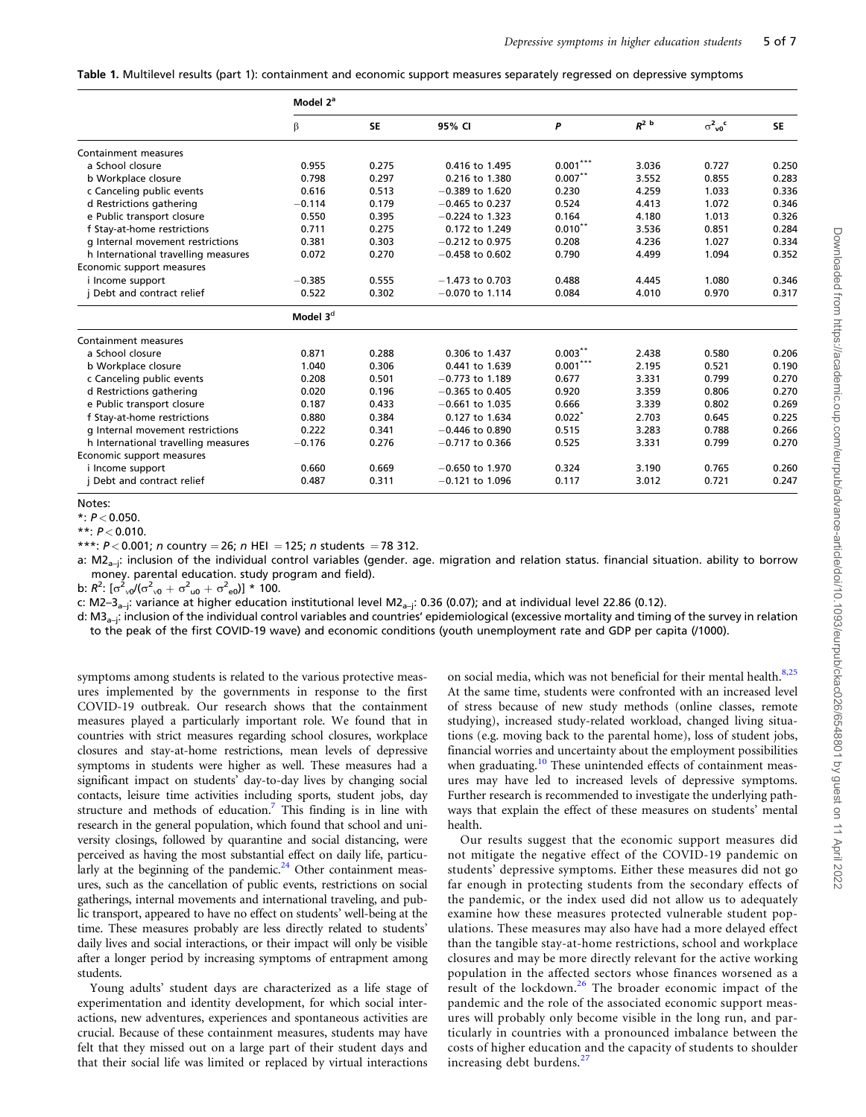<span id="page-4-0"></span>Table 1. Multilevel results (part 1): containment and economic support measures separately regressed on depressive symptoms

|                                     | Model 2 <sup>a</sup> |           |                   |            |         |                                 |           |
|-------------------------------------|----------------------|-----------|-------------------|------------|---------|---------------------------------|-----------|
|                                     | β                    | <b>SE</b> | 95% CI            | P          | $R^2$ b | $\sigma^2_{\nu 0}$ <sup>c</sup> | <b>SE</b> |
| Containment measures                |                      |           |                   |            |         |                                 |           |
| a School closure                    | 0.955                | 0.275     | 0.416 to 1.495    | $0.001***$ | 3.036   | 0.727                           | 0.250     |
| b Workplace closure                 | 0.798                | 0.297     | 0.216 to 1.380    | $0.007***$ | 3.552   | 0.855                           | 0.283     |
| c Canceling public events           | 0.616                | 0.513     | $-0.389$ to 1.620 | 0.230      | 4.259   | 1.033                           | 0.336     |
| d Restrictions gathering            | $-0.114$             | 0.179     | $-0.465$ to 0.237 | 0.524      | 4.413   | 1.072                           | 0.346     |
| e Public transport closure          | 0.550                | 0.395     | $-0.224$ to 1.323 | 0.164      | 4.180   | 1.013                           | 0.326     |
| f Stay-at-home restrictions         | 0.711                | 0.275     | 0.172 to 1.249    | $0.010***$ | 3.536   | 0.851                           | 0.284     |
| g Internal movement restrictions    | 0.381                | 0.303     | $-0.212$ to 0.975 | 0.208      | 4.236   | 1.027                           | 0.334     |
| h International travelling measures | 0.072                | 0.270     | $-0.458$ to 0.602 | 0.790      | 4.499   | 1.094                           | 0.352     |
| Economic support measures           |                      |           |                   |            |         |                                 |           |
| i Income support                    | $-0.385$             | 0.555     | $-1.473$ to 0.703 | 0.488      | 4.445   | 1.080                           | 0.346     |
| Debt and contract relief            | 0.522                | 0.302     | $-0.070$ to 1.114 | 0.084      | 4.010   | 0.970                           | 0.317     |
|                                     | Model 3 <sup>d</sup> |           |                   |            |         |                                 |           |
| Containment measures                |                      |           |                   |            |         |                                 |           |
| a School closure                    | 0.871                | 0.288     | 0.306 to 1.437    | $0.003***$ | 2.438   | 0.580                           | 0.206     |
| b Workplace closure                 | 1.040                | 0.306     | 0.441 to 1.639    | $0.001***$ | 2.195   | 0.521                           | 0.190     |
| c Canceling public events           | 0.208                | 0.501     | $-0.773$ to 1.189 | 0.677      | 3.331   | 0.799                           | 0.270     |
| d Restrictions gathering            | 0.020                | 0.196     | $-0.365$ to 0.405 | 0.920      | 3.359   | 0.806                           | 0.270     |
| e Public transport closure          | 0.187                | 0.433     | $-0.661$ to 1.035 | 0.666      | 3.339   | 0.802                           | 0.269     |
| f Stay-at-home restrictions         | 0.880                | 0.384     | 0.127 to 1.634    | $0.022*$   | 2.703   | 0.645                           | 0.225     |
| g Internal movement restrictions    | 0.222                | 0.341     | $-0.446$ to 0.890 | 0.515      | 3.283   | 0.788                           | 0.266     |
| h International travelling measures | $-0.176$             | 0.276     | $-0.717$ to 0.366 | 0.525      | 3.331   | 0.799                           | 0.270     |
| Economic support measures           |                      |           |                   |            |         |                                 |           |
| i Income support                    | 0.660                | 0.669     | $-0.650$ to 1.970 | 0.324      | 3.190   | 0.765                           | 0.260     |
| j Debt and contract relief          | 0.487                | 0.311     | $-0.121$ to 1.096 | 0.117      | 3.012   | 0.721                           | 0.247     |

Notes:

 $*: P < 0.050.$ 

\*\*:  $P < 0.010$ .

\*\*\*:  $P < 0.001$ ; n country = 26; n HEI = 125; n students = 78 312.

a: M2<sub>a-i</sub>: inclusion of the individual control variables (gender. age. migration and relation status. financial situation. ability to borrow money. parental education. study program and field).

b:  $R^2$ :  $[\sigma^2_{v0}/(\sigma^2_{v0} + \sigma^2_{u0} + \sigma^2_{e0})] * 100$ .

c: M2–3<sub>a–j</sub>: variance at higher education institutional level M2<sub>a–j</sub>: 0.36 (0.07); and at individual level 22.86 (0.12).

d: M3<sub>a-j</sub>: inclusion of the individual control variables and countries' epidemiological (excessive mortality and timing of the survey in relation to the peak of the first COVID-19 wave) and economic conditions (youth unemployment rate and GDP per capita (/1000).

symptoms among students is related to the various protective measures implemented by the governments in response to the first COVID-19 outbreak. Our research shows that the containment measures played a particularly important role. We found that in countries with strict measures regarding school closures, workplace closures and stay-at-home restrictions, mean levels of depressive symptoms in students were higher as well. These measures had a significant impact on students' day-to-day lives by changing social contacts, leisure time activities including sports, student jobs, day structure and methods of education.[7](#page-6-0) This finding is in line with research in the general population, which found that school and university closings, followed by quarantine and social distancing, were perceived as having the most substantial effect on daily life, particu-larly at the beginning of the pandemic.<sup>[24](#page-6-0)</sup> Other containment measures, such as the cancellation of public events, restrictions on social gatherings, internal movements and international traveling, and public transport, appeared to have no effect on students' well-being at the time. These measures probably are less directly related to students' daily lives and social interactions, or their impact will only be visible after a longer period by increasing symptoms of entrapment among students.

Young adults' student days are characterized as a life stage of experimentation and identity development, for which social interactions, new adventures, experiences and spontaneous activities are crucial. Because of these containment measures, students may have felt that they missed out on a large part of their student days and that their social life was limited or replaced by virtual interactions on social media, which was not beneficial for their mental health.<sup>[8](#page-6-0),[25](#page-6-0)</sup> At the same time, students were confronted with an increased level of stress because of new study methods (online classes, remote studying), increased study-related workload, changed living situations (e.g. moving back to the parental home), loss of student jobs, financial worries and uncertainty about the employment possibilities when graduating.<sup>[10](#page-6-0)</sup> These unintended effects of containment measures may have led to increased levels of depressive symptoms. Further research is recommended to investigate the underlying pathways that explain the effect of these measures on students' mental health.

Our results suggest that the economic support measures did not mitigate the negative effect of the COVID-19 pandemic on students' depressive symptoms. Either these measures did not go far enough in protecting students from the secondary effects of the pandemic, or the index used did not allow us to adequately examine how these measures protected vulnerable student populations. These measures may also have had a more delayed effect than the tangible stay-at-home restrictions, school and workplace closures and may be more directly relevant for the active working population in the affected sectors whose finances worsened as a result of the lockdown.[26](#page-6-0) The broader economic impact of the pandemic and the role of the associated economic support measures will probably only become visible in the long run, and particularly in countries with a pronounced imbalance between the costs of higher education and the capacity of students to shoulder increasing debt burdens.<sup>[27](#page-6-0)</sup>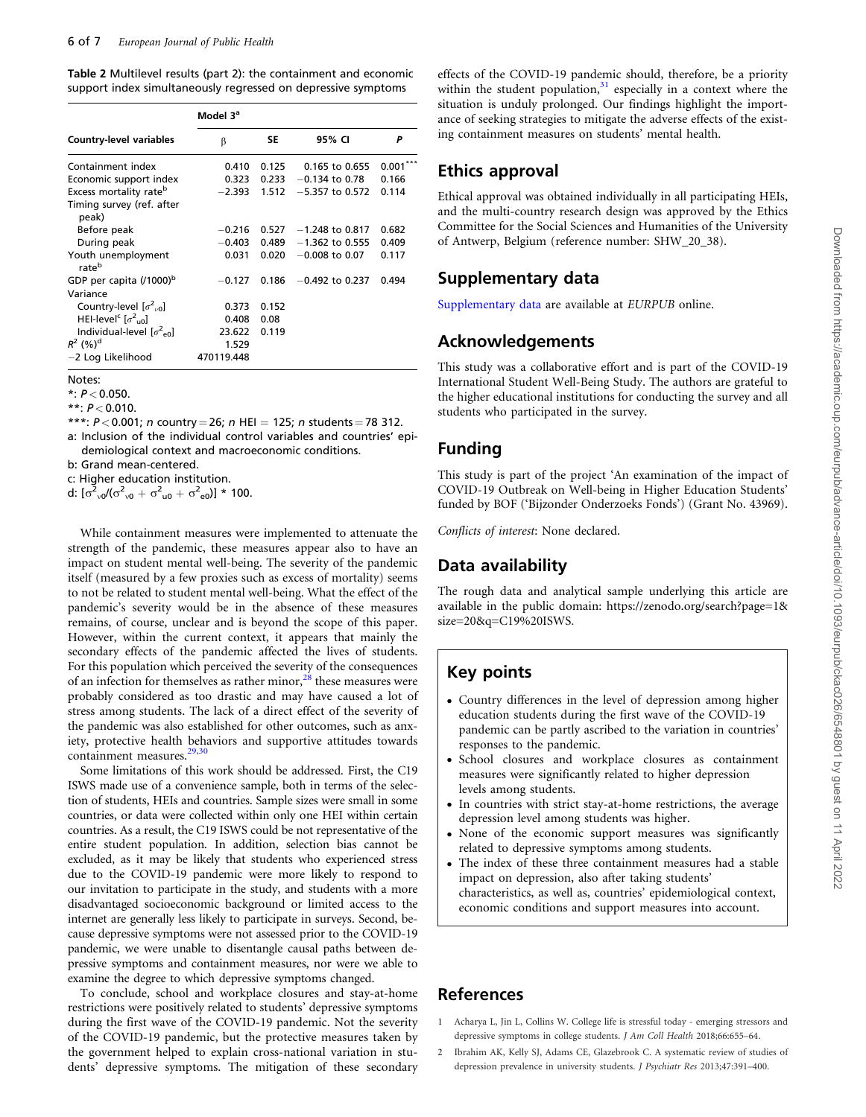<span id="page-5-0"></span>Table 2 Multilevel results (part 2): the containment and economic support index simultaneously regressed on depressive symptoms

|                                                 | Model 3 <sup>a</sup> |       |                   |       |  |  |  |
|-------------------------------------------------|----------------------|-------|-------------------|-------|--|--|--|
| <b>Country-level variables</b>                  | β                    | SE    | 95% CI            | Р     |  |  |  |
| Containment index                               | 0.410                | 0.125 | 0.165 to 0.655    | 0.001 |  |  |  |
| Economic support index                          | 0.323                | 0.233 | $-0.134$ to 0.78  | 0.166 |  |  |  |
| Excess mortality rate <sup>b</sup>              | $-2.393$             | 1.512 | $-5.357$ to 0.572 | 0.114 |  |  |  |
| Timing survey (ref. after<br>peak)              |                      |       |                   |       |  |  |  |
| Before peak                                     | $-0.216$             | 0.527 | $-1.248$ to 0.817 | 0.682 |  |  |  |
| During peak                                     | $-0.403$             | 0.489 | $-1.362$ to 0.555 | 0.409 |  |  |  |
| Youth unemployment<br>rateb                     | 0.031                | 0.020 | $-0.008$ to 0.07  | 0.117 |  |  |  |
| GDP per capita (/1000) <sup>b</sup>             | $-0.127$             | 0.186 | $-0.492$ to 0.237 | 0.494 |  |  |  |
| Variance                                        |                      |       |                   |       |  |  |  |
| Country-level $[\sigma^2_{\alpha}$ ]            | 0.373                | 0.152 |                   |       |  |  |  |
| HEI-level <sup>c</sup> $\lceil \sigma^2 \rceil$ | 0.408                | 0.08  |                   |       |  |  |  |
| Individual-level $[\sigma^2_{\text{eq}}]$       | 23.622               | 0.119 |                   |       |  |  |  |
| $R^2$ (%) <sup>d</sup>                          | 1.529                |       |                   |       |  |  |  |
| -2 Log Likelihood                               | 470119.448           |       |                   |       |  |  |  |

Notes:

 $*: P < 0.050.$ 

\*\*:  $P < 0.010$ .

\*\*\*:  $P < 0.001$ ; n country = 26; n HEI = 125; n students = 78 312. a: Inclusion of the individual control variables and countries' epi-

demiological context and macroeconomic conditions. b: Grand mean-centered.

c: Higher education institution.

d:  $[\sigma_{\nu 0}^2/(\sigma_{\nu 0}^2 + \sigma_{\nu 0}^2 + \sigma_{\nu 0}^2)] * 100$ .

While containment measures were implemented to attenuate the strength of the pandemic, these measures appear also to have an impact on student mental well-being. The severity of the pandemic itself (measured by a few proxies such as excess of mortality) seems to not be related to student mental well-being. What the effect of the pandemic's severity would be in the absence of these measures remains, of course, unclear and is beyond the scope of this paper. However, within the current context, it appears that mainly the secondary effects of the pandemic affected the lives of students. For this population which perceived the severity of the consequences of an infection for themselves as rather minor,  $^{28}$  $^{28}$  $^{28}$  these measures were probably considered as too drastic and may have caused a lot of stress among students. The lack of a direct effect of the severity of the pandemic was also established for other outcomes, such as anxiety, protective health behaviors and supportive attitudes towards containment measures. $29,30$ 

Some limitations of this work should be addressed. First, the C19 ISWS made use of a convenience sample, both in terms of the selection of students, HEIs and countries. Sample sizes were small in some countries, or data were collected within only one HEI within certain countries. As a result, the C19 ISWS could be not representative of the entire student population. In addition, selection bias cannot be excluded, as it may be likely that students who experienced stress due to the COVID-19 pandemic were more likely to respond to our invitation to participate in the study, and students with a more disadvantaged socioeconomic background or limited access to the internet are generally less likely to participate in surveys. Second, because depressive symptoms were not assessed prior to the COVID-19 pandemic, we were unable to disentangle causal paths between depressive symptoms and containment measures, nor were we able to examine the degree to which depressive symptoms changed.

To conclude, school and workplace closures and stay-at-home restrictions were positively related to students' depressive symptoms during the first wave of the COVID-19 pandemic. Not the severity of the COVID-19 pandemic, but the protective measures taken by the government helped to explain cross-national variation in students' depressive symptoms. The mitigation of these secondary

effects of the COVID-19 pandemic should, therefore, be a priority within the student population, $31$  especially in a context where the situation is unduly prolonged. Our findings highlight the importance of seeking strategies to mitigate the adverse effects of the existing containment measures on students' mental health.

### Ethics approval

Ethical approval was obtained individually in all participating HEIs, and the multi-country research design was approved by the Ethics Committee for the Social Sciences and Humanities of the University of Antwerp, Belgium (reference number: SHW\_20\_38).

### Supplementary data

[Supplementary data](https://academic.oup.com/eurpub/article-lookup/doi/10.1093/eurpub/ckac026#supplementary-data) are available at EURPUB online.

## Acknowledgements

This study was a collaborative effort and is part of the COVID-19 International Student Well-Being Study. The authors are grateful to the higher educational institutions for conducting the survey and all students who participated in the survey.

### Funding

This study is part of the project 'An examination of the impact of COVID-19 Outbreak on Well-being in Higher Education Students' funded by BOF ('Bijzonder Onderzoeks Fonds') (Grant No. 43969).

Conflicts of interest: None declared.

# Data availability

The rough data and analytical sample underlying this article are available in the public domain: [https://zenodo.org/search?page=1](https://zenodo.org/search?page=1&hx0026;size=20&hx0026;q=C19%20ISWS)& [size=20&q=C19%20ISWS](https://zenodo.org/search?page=1&hx0026;size=20&hx0026;q=C19%20ISWS).

# Key points

- Country differences in the level of depression among higher education students during the first wave of the COVID-19 pandemic can be partly ascribed to the variation in countries' responses to the pandemic.
- School closures and workplace closures as containment measures were significantly related to higher depression levels among students.
- In countries with strict stay-at-home restrictions, the average depression level among students was higher.
- None of the economic support measures was significantly related to depressive symptoms among students.
- The index of these three containment measures had a stable impact on depression, also after taking students' characteristics, as well as, countries' epidemiological context, economic conditions and support measures into account.

### References

- [1](#page-0-0) Acharya L, Jin L, Collins W. College life is stressful today emerging stressors and depressive symptoms in college students. J Am Coll Health 2018;66:655–64.
- [2](#page-0-0) Ibrahim AK, Kelly SJ, Adams CE, Glazebrook C. A systematic review of studies of depression prevalence in university students. J Psychiatr Res 2013;47:391–400.